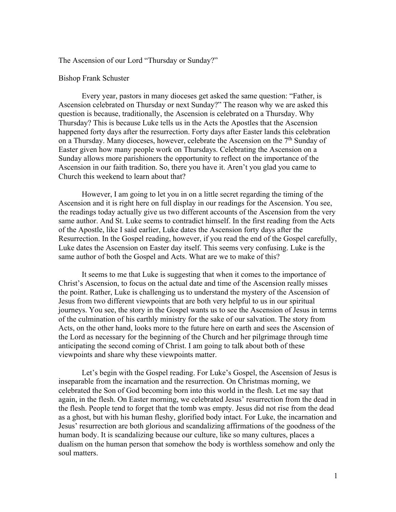The Ascension of our Lord "Thursday or Sunday?"

## Bishop Frank Schuster

Every year, pastors in many dioceses get asked the same question: "Father, is Ascension celebrated on Thursday or next Sunday?" The reason why we are asked this question is because, traditionally, the Ascension is celebrated on a Thursday. Why Thursday? This is because Luke tells us in the Acts the Apostles that the Ascension happened forty days after the resurrection. Forty days after Easter lands this celebration on a Thursday. Many dioceses, however, celebrate the Ascension on the 7<sup>th</sup> Sunday of Easter given how many people work on Thursdays. Celebrating the Ascension on a Sunday allows more parishioners the opportunity to reflect on the importance of the Ascension in our faith tradition. So, there you have it. Aren't you glad you came to Church this weekend to learn about that?

However, I am going to let you in on a little secret regarding the timing of the Ascension and it is right here on full display in our readings for the Ascension. You see, the readings today actually give us two different accounts of the Ascension from the very same author. And St. Luke seems to contradict himself. In the first reading from the Acts of the Apostle, like I said earlier, Luke dates the Ascension forty days after the Resurrection. In the Gospel reading, however, if you read the end of the Gospel carefully, Luke dates the Ascension on Easter day itself. This seems very confusing. Luke is the same author of both the Gospel and Acts. What are we to make of this?

It seems to me that Luke is suggesting that when it comes to the importance of Christ's Ascension, to focus on the actual date and time of the Ascension really misses the point. Rather, Luke is challenging us to understand the mystery of the Ascension of Jesus from two different viewpoints that are both very helpful to us in our spiritual journeys. You see, the story in the Gospel wants us to see the Ascension of Jesus in terms of the culmination of his earthly ministry for the sake of our salvation. The story from Acts, on the other hand, looks more to the future here on earth and sees the Ascension of the Lord as necessary for the beginning of the Church and her pilgrimage through time anticipating the second coming of Christ. I am going to talk about both of these viewpoints and share why these viewpoints matter.

Let's begin with the Gospel reading. For Luke's Gospel, the Ascension of Jesus is inseparable from the incarnation and the resurrection. On Christmas morning, we celebrated the Son of God becoming born into this world in the flesh. Let me say that again, in the flesh. On Easter morning, we celebrated Jesus' resurrection from the dead in the flesh. People tend to forget that the tomb was empty. Jesus did not rise from the dead as a ghost, but with his human fleshy, glorified body intact. For Luke, the incarnation and Jesus' resurrection are both glorious and scandalizing affirmations of the goodness of the human body. It is scandalizing because our culture, like so many cultures, places a dualism on the human person that somehow the body is worthless somehow and only the soul matters.